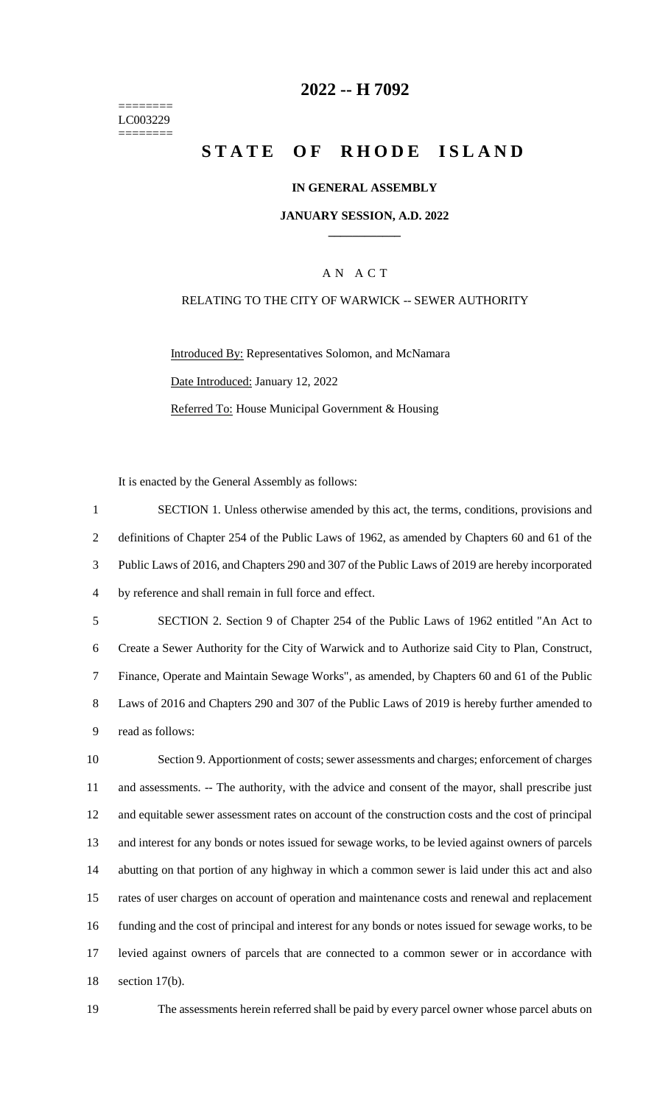======== LC003229 ========

## **-- H 7092**

# **STATE OF RHODE ISLAND**

#### **IN GENERAL ASSEMBLY**

#### **JANUARY SESSION, A.D. 2022 \_\_\_\_\_\_\_\_\_\_\_\_**

### A N A C T

#### RELATING TO THE CITY OF WARWICK -- SEWER AUTHORITY

Introduced By: Representatives Solomon, and McNamara Date Introduced: January 12, 2022 Referred To: House Municipal Government & Housing

It is enacted by the General Assembly as follows:

 SECTION 1. Unless otherwise amended by this act, the terms, conditions, provisions and definitions of Chapter 254 of the Public Laws of 1962, as amended by Chapters 60 and 61 of the Public Laws of 2016, and Chapters 290 and 307 of the Public Laws of 2019 are hereby incorporated by reference and shall remain in full force and effect. SECTION 2. Section 9 of Chapter 254 of the Public Laws of 1962 entitled "An Act to Create a Sewer Authority for the City of Warwick and to Authorize said City to Plan, Construct, Finance, Operate and Maintain Sewage Works", as amended, by Chapters 60 and 61 of the Public Laws of 2016 and Chapters 290 and 307 of the Public Laws of 2019 is hereby further amended to read as follows: Section 9. Apportionment of costs; sewer assessments and charges; enforcement of charges and assessments. -- The authority, with the advice and consent of the mayor, shall prescribe just and equitable sewer assessment rates on account of the construction costs and the cost of principal and interest for any bonds or notes issued for sewage works, to be levied against owners of parcels abutting on that portion of any highway in which a common sewer is laid under this act and also rates of user charges on account of operation and maintenance costs and renewal and replacement funding and the cost of principal and interest for any bonds or notes issued for sewage works, to be levied against owners of parcels that are connected to a common sewer or in accordance with section 17(b).

The assessments herein referred shall be paid by every parcel owner whose parcel abuts on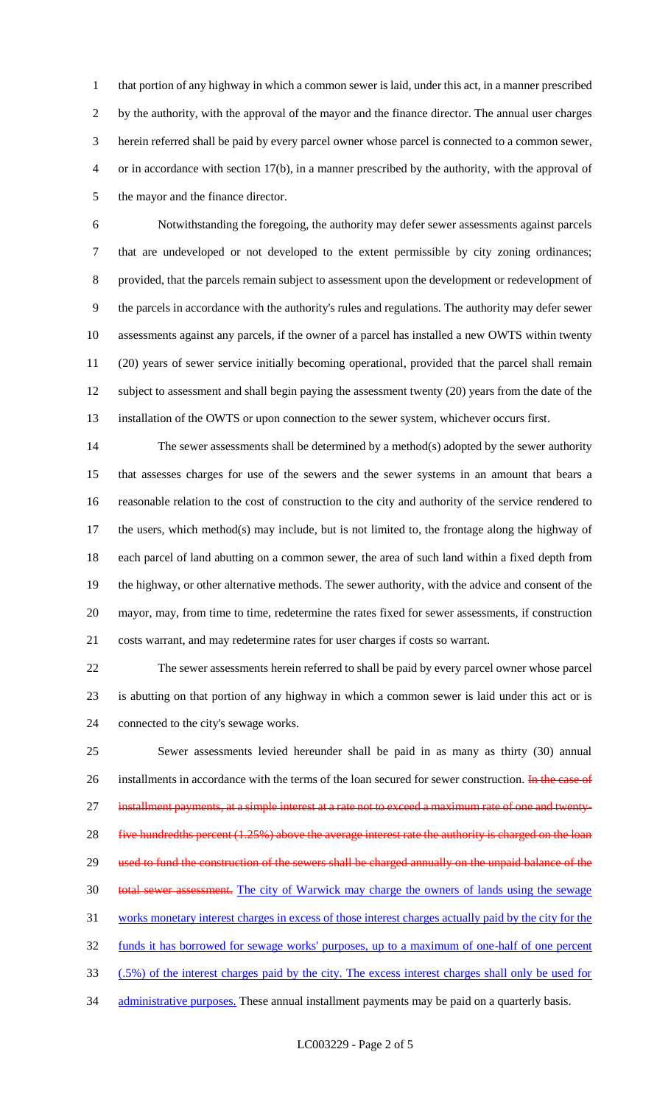that portion of any highway in which a common sewer is laid, under this act, in a manner prescribed by the authority, with the approval of the mayor and the finance director. The annual user charges herein referred shall be paid by every parcel owner whose parcel is connected to a common sewer, or in accordance with section 17(b), in a manner prescribed by the authority, with the approval of the mayor and the finance director.

 Notwithstanding the foregoing, the authority may defer sewer assessments against parcels that are undeveloped or not developed to the extent permissible by city zoning ordinances; provided, that the parcels remain subject to assessment upon the development or redevelopment of the parcels in accordance with the authority's rules and regulations. The authority may defer sewer assessments against any parcels, if the owner of a parcel has installed a new OWTS within twenty (20) years of sewer service initially becoming operational, provided that the parcel shall remain subject to assessment and shall begin paying the assessment twenty (20) years from the date of the installation of the OWTS or upon connection to the sewer system, whichever occurs first.

 The sewer assessments shall be determined by a method(s) adopted by the sewer authority that assesses charges for use of the sewers and the sewer systems in an amount that bears a reasonable relation to the cost of construction to the city and authority of the service rendered to the users, which method(s) may include, but is not limited to, the frontage along the highway of each parcel of land abutting on a common sewer, the area of such land within a fixed depth from the highway, or other alternative methods. The sewer authority, with the advice and consent of the mayor, may, from time to time, redetermine the rates fixed for sewer assessments, if construction costs warrant, and may redetermine rates for user charges if costs so warrant.

 The sewer assessments herein referred to shall be paid by every parcel owner whose parcel is abutting on that portion of any highway in which a common sewer is laid under this act or is connected to the city's sewage works.

 Sewer assessments levied hereunder shall be paid in as many as thirty (30) annual 26 installments in accordance with the terms of the loan secured for sewer construction. In the case of 27 installment payments, at a simple interest at a rate not to exceed a maximum rate of one and twenty-28 five hundredths percent (1.25%) above the average interest rate the authority is charged on the loan 29 used to fund the construction of the sewers shall be charged annually on the unpaid balance of the 30 total sewer assessment. The city of Warwick may charge the owners of lands using the sewage works monetary interest charges in excess of those interest charges actually paid by the city for the funds it has borrowed for sewage works' purposes, up to a maximum of one-half of one percent (.5%) of the interest charges paid by the city. The excess interest charges shall only be used for 34 administrative purposes. These annual installment payments may be paid on a quarterly basis.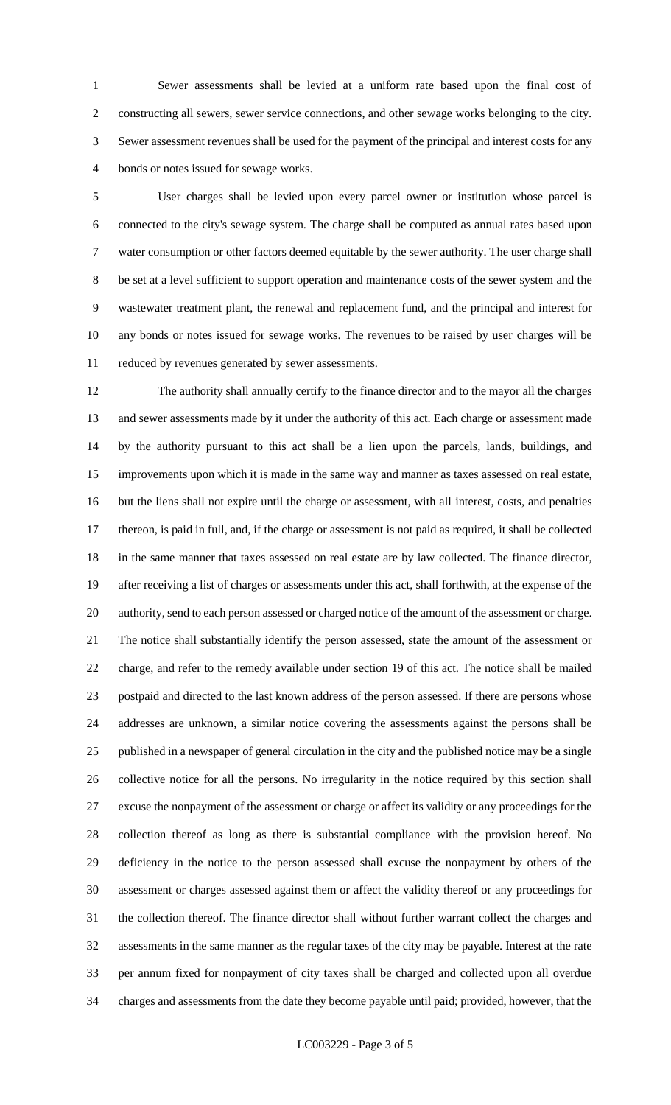Sewer assessments shall be levied at a uniform rate based upon the final cost of constructing all sewers, sewer service connections, and other sewage works belonging to the city. Sewer assessment revenues shall be used for the payment of the principal and interest costs for any bonds or notes issued for sewage works.

 User charges shall be levied upon every parcel owner or institution whose parcel is connected to the city's sewage system. The charge shall be computed as annual rates based upon water consumption or other factors deemed equitable by the sewer authority. The user charge shall be set at a level sufficient to support operation and maintenance costs of the sewer system and the wastewater treatment plant, the renewal and replacement fund, and the principal and interest for any bonds or notes issued for sewage works. The revenues to be raised by user charges will be reduced by revenues generated by sewer assessments.

 The authority shall annually certify to the finance director and to the mayor all the charges and sewer assessments made by it under the authority of this act. Each charge or assessment made by the authority pursuant to this act shall be a lien upon the parcels, lands, buildings, and improvements upon which it is made in the same way and manner as taxes assessed on real estate, but the liens shall not expire until the charge or assessment, with all interest, costs, and penalties thereon, is paid in full, and, if the charge or assessment is not paid as required, it shall be collected in the same manner that taxes assessed on real estate are by law collected. The finance director, after receiving a list of charges or assessments under this act, shall forthwith, at the expense of the authority, send to each person assessed or charged notice of the amount of the assessment or charge. The notice shall substantially identify the person assessed, state the amount of the assessment or charge, and refer to the remedy available under section 19 of this act. The notice shall be mailed postpaid and directed to the last known address of the person assessed. If there are persons whose addresses are unknown, a similar notice covering the assessments against the persons shall be published in a newspaper of general circulation in the city and the published notice may be a single collective notice for all the persons. No irregularity in the notice required by this section shall excuse the nonpayment of the assessment or charge or affect its validity or any proceedings for the collection thereof as long as there is substantial compliance with the provision hereof. No deficiency in the notice to the person assessed shall excuse the nonpayment by others of the assessment or charges assessed against them or affect the validity thereof or any proceedings for the collection thereof. The finance director shall without further warrant collect the charges and assessments in the same manner as the regular taxes of the city may be payable. Interest at the rate per annum fixed for nonpayment of city taxes shall be charged and collected upon all overdue charges and assessments from the date they become payable until paid; provided, however, that the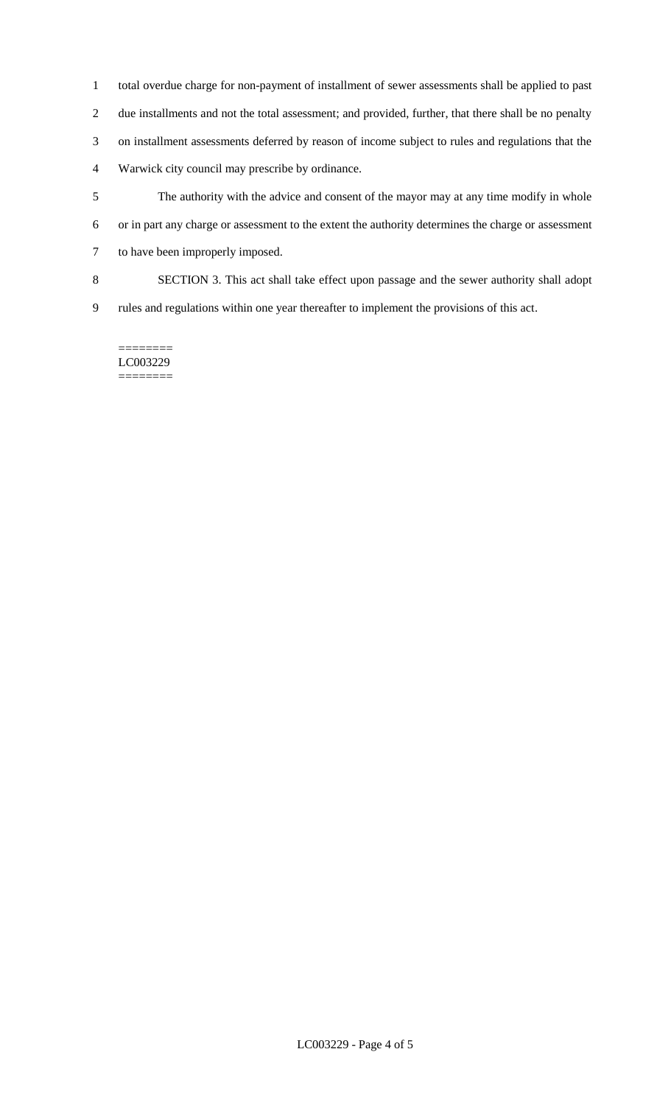- total overdue charge for non-payment of installment of sewer assessments shall be applied to past due installments and not the total assessment; and provided, further, that there shall be no penalty on installment assessments deferred by reason of income subject to rules and regulations that the Warwick city council may prescribe by ordinance.
- The authority with the advice and consent of the mayor may at any time modify in whole or in part any charge or assessment to the extent the authority determines the charge or assessment to have been improperly imposed.
- SECTION 3. This act shall take effect upon passage and the sewer authority shall adopt
- rules and regulations within one year thereafter to implement the provisions of this act.

======== LC003229 ========